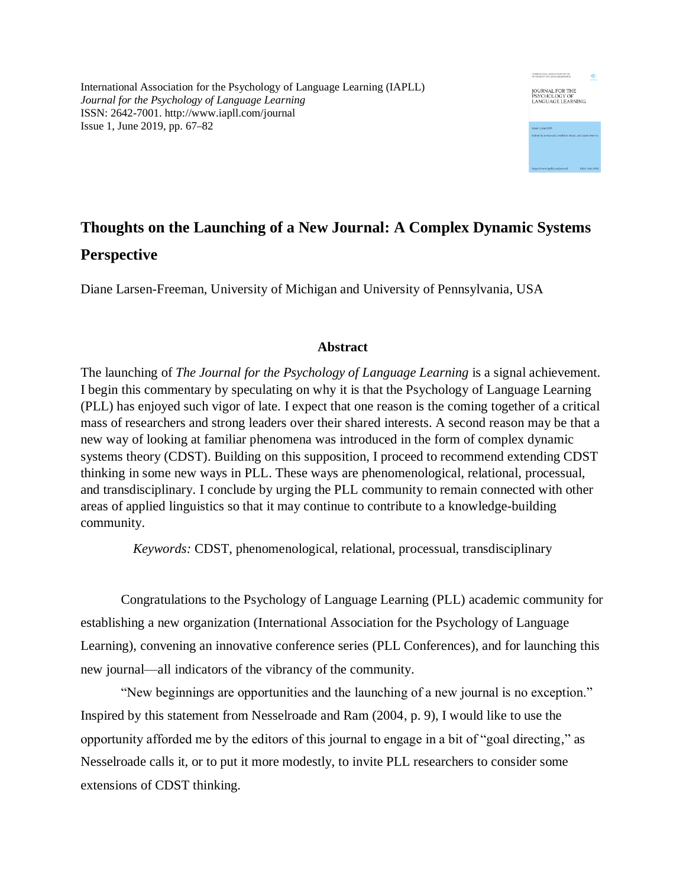International Association for the Psychology of Language Learning (IAPLL) *Journal for the Psychology of Language Learning* ISSN: 2642-7001. http://www.iapll.com/journal Issue 1, June 2019, pp. 67–82

# INTERNATIONAL ASSOCIATION FOR THE JOURNAL FOR THE<br>PSYCHOLOGY OF<br>LANGUAGE LEARNING

## **Thoughts on the Launching of a New Journal: A Complex Dynamic Systems Perspective**

Diane Larsen-Freeman, University of Michigan and University of Pennsylvania, USA

### **Abstract**

The launching of *The Journal for the Psychology of Language Learning* is a signal achievement. I begin this commentary by speculating on why it is that the Psychology of Language Learning (PLL) has enjoyed such vigor of late. I expect that one reason is the coming together of a critical mass of researchers and strong leaders over their shared interests. A second reason may be that a new way of looking at familiar phenomena was introduced in the form of complex dynamic systems theory (CDST). Building on this supposition, I proceed to recommend extending CDST thinking in some new ways in PLL. These ways are phenomenological, relational, processual, and transdisciplinary. I conclude by urging the PLL community to remain connected with other areas of applied linguistics so that it may continue to contribute to a knowledge-building community.

*Keywords:* CDST, phenomenological, relational, processual, transdisciplinary

Congratulations to the Psychology of Language Learning (PLL) academic community for establishing a new organization (International Association for the Psychology of Language Learning), convening an innovative conference series (PLL Conferences), and for launching this new journal—all indicators of the vibrancy of the community.

"New beginnings are opportunities and the launching of a new journal is no exception." Inspired by this statement from Nesselroade and Ram (2004, p. 9), I would like to use the opportunity afforded me by the editors of this journal to engage in a bit of "goal directing," as Nesselroade calls it, or to put it more modestly, to invite PLL researchers to consider some extensions of CDST thinking.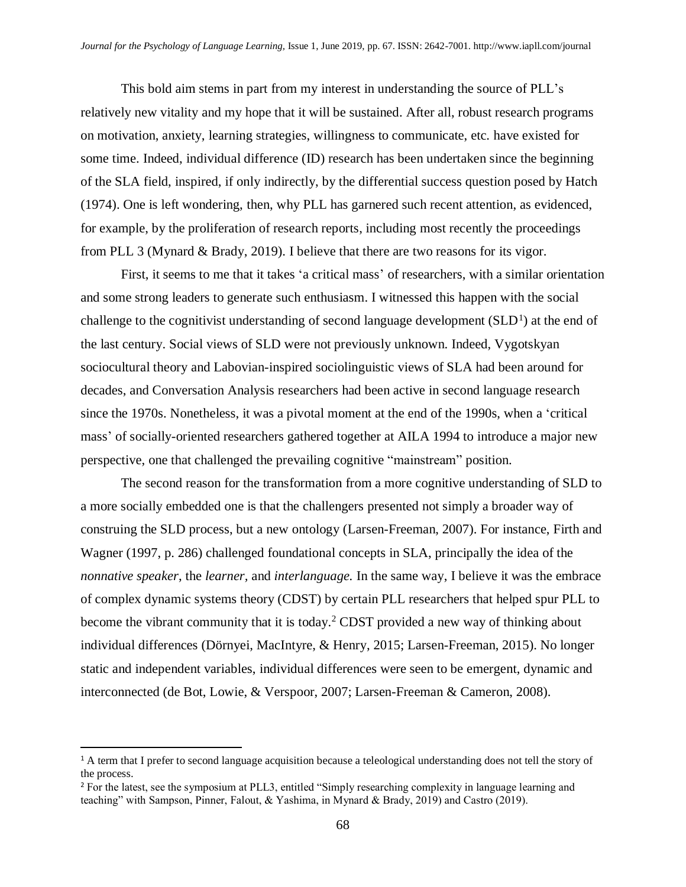This bold aim stems in part from my interest in understanding the source of PLL's relatively new vitality and my hope that it will be sustained. After all, robust research programs on motivation, anxiety, learning strategies, willingness to communicate, etc. have existed for some time. Indeed, individual difference (ID) research has been undertaken since the beginning of the SLA field, inspired, if only indirectly, by the differential success question posed by Hatch (1974). One is left wondering, then, why PLL has garnered such recent attention, as evidenced, for example, by the proliferation of research reports, including most recently the proceedings from PLL 3 (Mynard & Brady, 2019). I believe that there are two reasons for its vigor.

First, it seems to me that it takes 'a critical mass' of researchers, with a similar orientation and some strong leaders to generate such enthusiasm. I witnessed this happen with the social challenge to the cognitivist understanding of second language development  $(SLD<sup>1</sup>)$  at the end of the last century. Social views of SLD were not previously unknown. Indeed, Vygotskyan sociocultural theory and Labovian-inspired sociolinguistic views of SLA had been around for decades, and Conversation Analysis researchers had been active in second language research since the 1970s. Nonetheless, it was a pivotal moment at the end of the 1990s, when a 'critical mass' of socially-oriented researchers gathered together at AILA 1994 to introduce a major new perspective, one that challenged the prevailing cognitive "mainstream" position.

The second reason for the transformation from a more cognitive understanding of SLD to a more socially embedded one is that the challengers presented not simply a broader way of construing the SLD process, but a new ontology (Larsen-Freeman, 2007). For instance, Firth and Wagner (1997, p. 286) challenged foundational concepts in SLA, principally the idea of the *nonnative speaker*, the *learner,* and *interlanguage.* In the same way, I believe it was the embrace of complex dynamic systems theory (CDST) by certain PLL researchers that helped spur PLL to become the vibrant community that it is today. <sup>2</sup> CDST provided a new way of thinking about individual differences (Dörnyei, MacIntyre, & Henry, 2015; Larsen-Freeman, 2015). No longer static and independent variables, individual differences were seen to be emergent, dynamic and interconnected (de Bot, Lowie, & Verspoor, 2007; Larsen-Freeman & Cameron, 2008).

 $\overline{\phantom{0}}$ 

<sup>1</sup> A term that I prefer to second language acquisition because a teleological understanding does not tell the story of the process.

<sup>2</sup> For the latest, see the symposium at PLL3, entitled "Simply researching complexity in language learning and teaching" with Sampson, Pinner, Falout, & Yashima, in Mynard & Brady, 2019) and Castro (2019).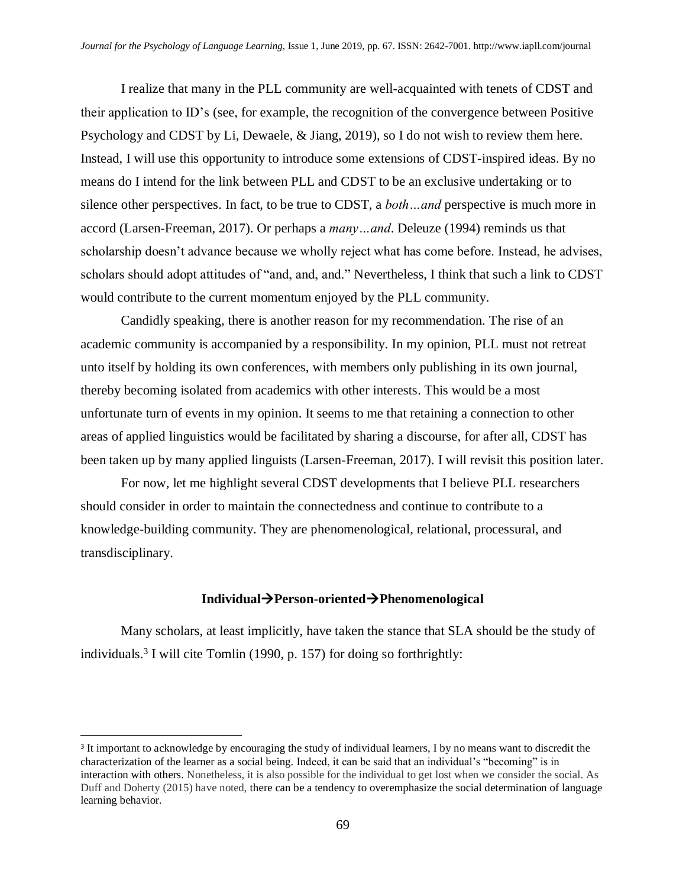I realize that many in the PLL community are well-acquainted with tenets of CDST and their application to ID's (see, for example, the recognition of the convergence between Positive Psychology and CDST by Li, Dewaele, & Jiang, 2019), so I do not wish to review them here. Instead, I will use this opportunity to introduce some extensions of CDST-inspired ideas. By no means do I intend for the link between PLL and CDST to be an exclusive undertaking or to silence other perspectives. In fact, to be true to CDST, a *both…and* perspective is much more in accord (Larsen-Freeman, 2017). Or perhaps a *many…and*. Deleuze (1994) reminds us that scholarship doesn't advance because we wholly reject what has come before. Instead, he advises, scholars should adopt attitudes of "and, and, and." Nevertheless, I think that such a link to CDST would contribute to the current momentum enjoyed by the PLL community.

Candidly speaking, there is another reason for my recommendation. The rise of an academic community is accompanied by a responsibility. In my opinion, PLL must not retreat unto itself by holding its own conferences, with members only publishing in its own journal, thereby becoming isolated from academics with other interests. This would be a most unfortunate turn of events in my opinion. It seems to me that retaining a connection to other areas of applied linguistics would be facilitated by sharing a discourse, for after all, CDST has been taken up by many applied linguists (Larsen-Freeman, 2017). I will revisit this position later.

For now, let me highlight several CDST developments that I believe PLL researchers should consider in order to maintain the connectedness and continue to contribute to a knowledge-building community. They are phenomenological, relational, processural, and transdisciplinary.

#### **Individual**→**Person-oriented**→**Phenomenological**

Many scholars, at least implicitly, have taken the stance that SLA should be the study of individuals. 3 I will cite Tomlin (1990, p. 157) for doing so forthrightly:

l

<sup>&</sup>lt;sup>3</sup> It important to acknowledge by encouraging the study of individual learners, I by no means want to discredit the characterization of the learner as a social being. Indeed, it can be said that an individual's "becoming" is in interaction with others. Nonetheless, it is also possible for the individual to get lost when we consider the social. As Duff and Doherty (2015) have noted, there can be a tendency to overemphasize the social determination of language learning behavior.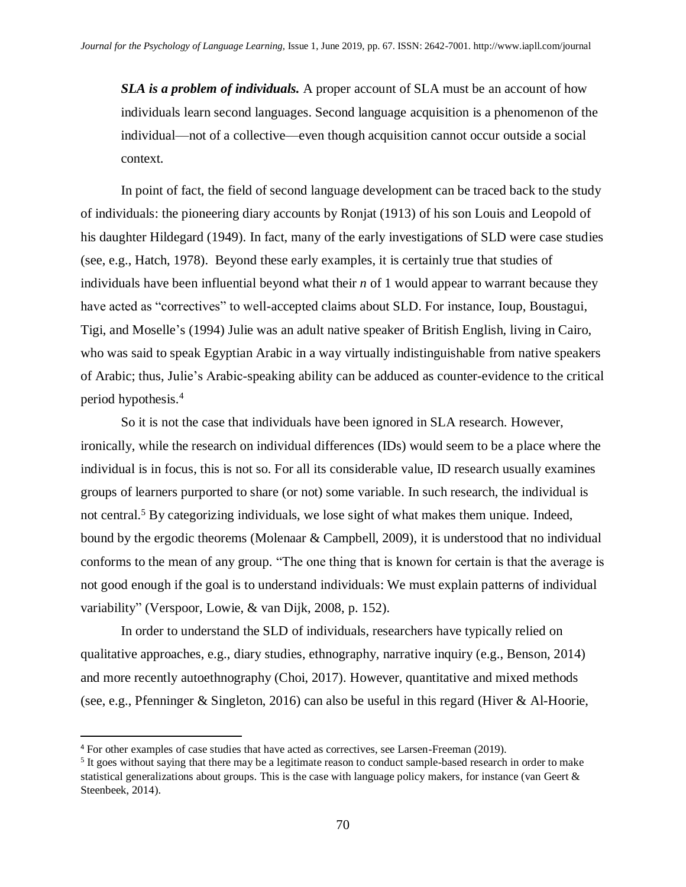*SLA is a problem of individuals.* A proper account of SLA must be an account of how individuals learn second languages. Second language acquisition is a phenomenon of the individual—not of a collective—even though acquisition cannot occur outside a social context.

In point of fact, the field of second language development can be traced back to the study of individuals: the pioneering diary accounts by Ronjat (1913) of his son Louis and Leopold of his daughter Hildegard (1949). In fact, many of the early investigations of SLD were case studies (see, e.g., Hatch, 1978). Beyond these early examples, it is certainly true that studies of individuals have been influential beyond what their *n* of 1 would appear to warrant because they have acted as "correctives" to well-accepted claims about SLD. For instance, Ioup, Boustagui, Tigi, and Moselle's (1994) Julie was an adult native speaker of British English, living in Cairo, who was said to speak Egyptian Arabic in a way virtually indistinguishable from native speakers of Arabic; thus, Julie's Arabic-speaking ability can be adduced as counter-evidence to the critical period hypothesis.<sup>4</sup>

So it is not the case that individuals have been ignored in SLA research. However, ironically, while the research on individual differences (IDs) would seem to be a place where the individual is in focus, this is not so. For all its considerable value, ID research usually examines groups of learners purported to share (or not) some variable. In such research, the individual is not central.<sup>5</sup> By categorizing individuals, we lose sight of what makes them unique. Indeed, bound by the ergodic theorems (Molenaar & Campbell, 2009), it is understood that no individual conforms to the mean of any group. "The one thing that is known for certain is that the average is not good enough if the goal is to understand individuals: We must explain patterns of individual variability" (Verspoor, Lowie, & van Dijk, 2008, p. 152).

In order to understand the SLD of individuals, researchers have typically relied on qualitative approaches, e.g., diary studies, ethnography, narrative inquiry (e.g., Benson, 2014) and more recently autoethnography (Choi, 2017). However, quantitative and mixed methods (see, e.g., Pfenninger & Singleton, 2016) can also be useful in this regard (Hiver & Al-Hoorie,

l

<sup>4</sup> For other examples of case studies that have acted as correctives, see Larsen-Freeman (2019).

 $<sup>5</sup>$  It goes without saying that there may be a legitimate reason to conduct sample-based research in order to make</sup> statistical generalizations about groups. This is the case with language policy makers, for instance (van Geert & Steenbeek, 2014).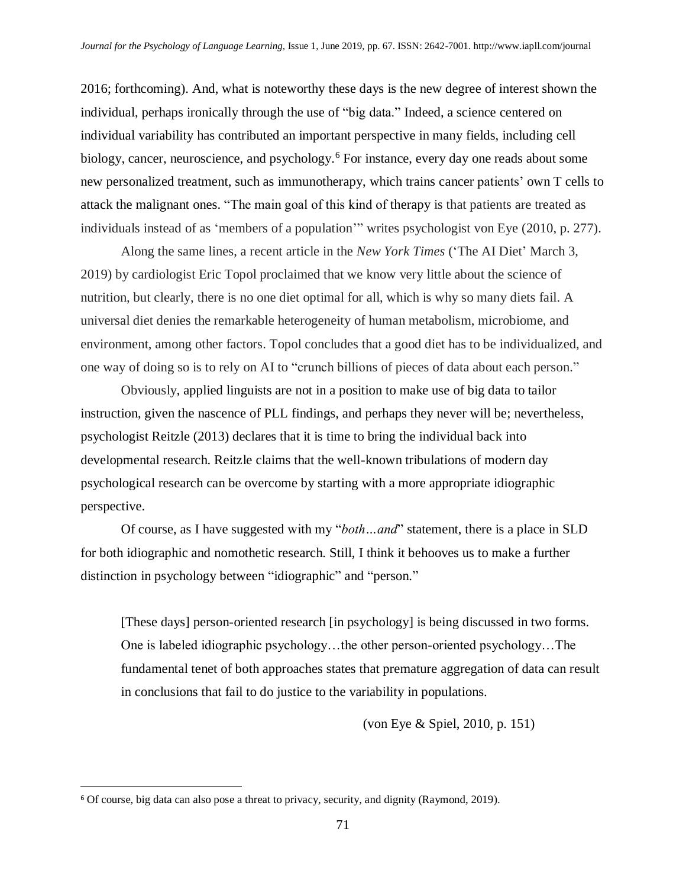2016; forthcoming). And, what is noteworthy these days is the new degree of interest shown the individual, perhaps ironically through the use of "big data." Indeed, a science centered on individual variability has contributed an important perspective in many fields, including cell biology, cancer, neuroscience, and psychology.<sup>6</sup> For instance, every day one reads about some new personalized treatment, such as immunotherapy, which trains cancer patients' own T cells to attack the malignant ones. "The main goal of this kind of therapy is that patients are treated as individuals instead of as 'members of a population'" writes psychologist von Eye (2010, p. 277).

Along the same lines, a recent article in the *New York Times* ('The AI Diet' March 3, 2019) by cardiologist Eric Topol proclaimed that we know very little about the science of nutrition, but clearly, there is no one diet optimal for all, which is why so many diets fail. A universal diet denies the remarkable heterogeneity of human metabolism, microbiome, and environment, among other factors. Topol concludes that a good diet has to be individualized, and one way of doing so is to rely on AI to "crunch billions of pieces of data about each person."

Obviously, applied linguists are not in a position to make use of big data to tailor instruction, given the nascence of PLL findings, and perhaps they never will be; nevertheless, psychologist Reitzle (2013) declares that it is time to bring the individual back into developmental research. Reitzle claims that the well-known tribulations of modern day psychological research can be overcome by starting with a more appropriate idiographic perspective.

Of course, as I have suggested with my "*both…and*" statement, there is a place in SLD for both idiographic and nomothetic research. Still, I think it behooves us to make a further distinction in psychology between "idiographic" and "person."

[These days] person-oriented research [in psychology] is being discussed in two forms. One is labeled idiographic psychology…the other person-oriented psychology…The fundamental tenet of both approaches states that premature aggregation of data can result in conclusions that fail to do justice to the variability in populations.

(von Eye & Spiel, 2010, p. 151)

l

<sup>6</sup> Of course, big data can also pose a threat to privacy, security, and dignity (Raymond, 2019).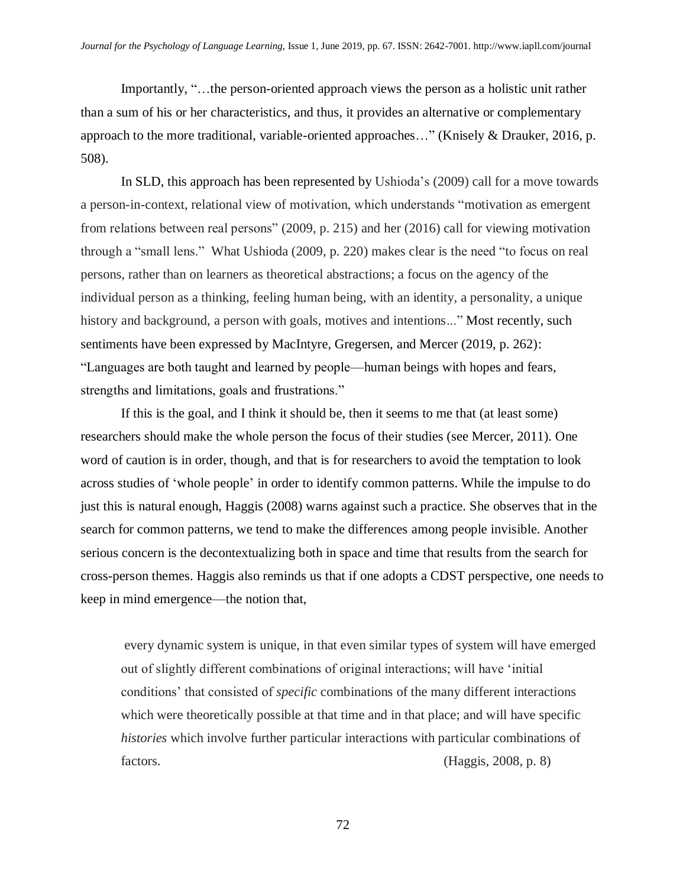Importantly, "…the person-oriented approach views the person as a holistic unit rather than a sum of his or her characteristics, and thus, it provides an alternative or complementary approach to the more traditional, variable-oriented approaches…" (Knisely & Drauker, 2016, p. 508).

In SLD, this approach has been represented by Ushioda's (2009) call for a move towards a person-in-context, relational view of motivation, which understands "motivation as emergent from relations between real persons" (2009, p. 215) and her (2016) call for viewing motivation through a "small lens." What Ushioda (2009, p. 220) makes clear is the need "to focus on real persons, rather than on learners as theoretical abstractions; a focus on the agency of the individual person as a thinking, feeling human being, with an identity, a personality, a unique history and background, a person with goals, motives and intentions..." Most recently, such sentiments have been expressed by MacIntyre, Gregersen, and Mercer (2019, p. 262): "Languages are both taught and learned by people—human beings with hopes and fears, strengths and limitations, goals and frustrations."

If this is the goal, and I think it should be, then it seems to me that (at least some) researchers should make the whole person the focus of their studies (see Mercer, 2011). One word of caution is in order, though, and that is for researchers to avoid the temptation to look across studies of 'whole people' in order to identify common patterns. While the impulse to do just this is natural enough, Haggis (2008) warns against such a practice. She observes that in the search for common patterns, we tend to make the differences among people invisible. Another serious concern is the decontextualizing both in space and time that results from the search for cross-person themes. Haggis also reminds us that if one adopts a CDST perspective, one needs to keep in mind emergence—the notion that,

every dynamic system is unique, in that even similar types of system will have emerged out of slightly different combinations of original interactions; will have 'initial conditions' that consisted of *specific* combinations of the many different interactions which were theoretically possible at that time and in that place; and will have specific *histories* which involve further particular interactions with particular combinations of factors. (Haggis, 2008, p. 8)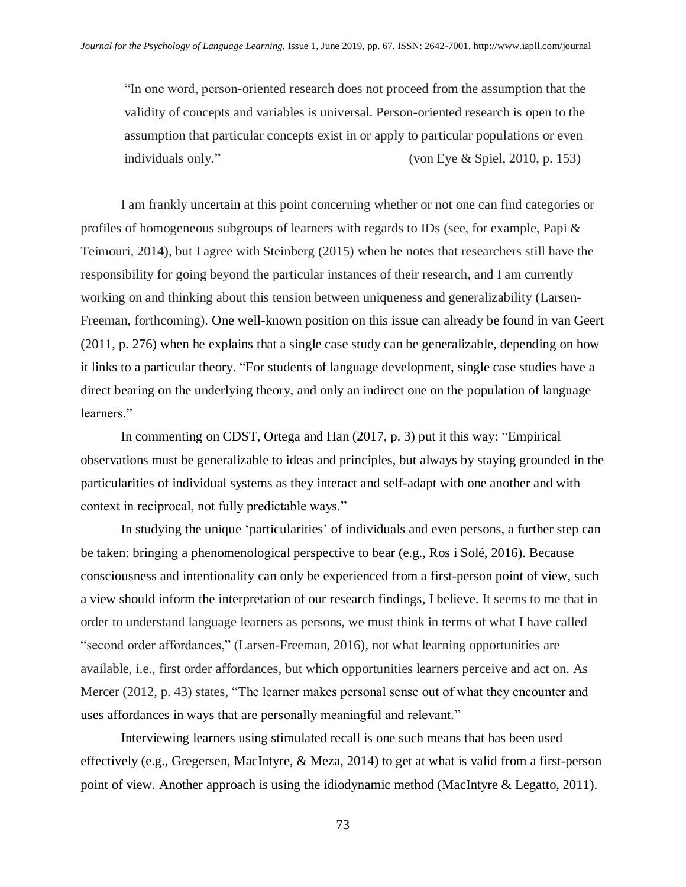"In one word, person-oriented research does not proceed from the assumption that the validity of concepts and variables is universal. Person-oriented research is open to the assumption that particular concepts exist in or apply to particular populations or even individuals only." (von Eye & Spiel, 2010, p. 153)

I am frankly uncertain at this point concerning whether or not one can find categories or profiles of homogeneous subgroups of learners with regards to IDs (see, for example, Papi & Teimouri, 2014), but I agree with Steinberg (2015) when he notes that researchers still have the responsibility for going beyond the particular instances of their research, and I am currently working on and thinking about this tension between uniqueness and generalizability (Larsen-Freeman, forthcoming). One well-known position on this issue can already be found in van Geert (2011, p. 276) when he explains that a single case study can be generalizable, depending on how it links to a particular theory. "For students of language development, single case studies have a direct bearing on the underlying theory, and only an indirect one on the population of language learners."

In commenting on CDST, Ortega and Han (2017, p. 3) put it this way: "Empirical observations must be generalizable to ideas and principles, but always by staying grounded in the particularities of individual systems as they interact and self-adapt with one another and with context in reciprocal, not fully predictable ways."

In studying the unique 'particularities' of individuals and even persons, a further step can be taken: bringing a phenomenological perspective to bear (e.g., Ros i Solé, 2016). Because consciousness and intentionality can only be experienced from a first-person point of view, such a view should inform the interpretation of our research findings, I believe. It seems to me that in order to understand language learners as persons, we must think in terms of what I have called "second order affordances," (Larsen-Freeman, 2016), not what learning opportunities are available, i.e., first order affordances, but which opportunities learners perceive and act on. As Mercer (2012, p. 43) states, "The learner makes personal sense out of what they encounter and uses affordances in ways that are personally meaningful and relevant."

Interviewing learners using stimulated recall is one such means that has been used effectively (e.g., Gregersen, MacIntyre, & Meza, 2014) to get at what is valid from a first-person point of view. Another approach is using the idiodynamic method (MacIntyre & Legatto, 2011).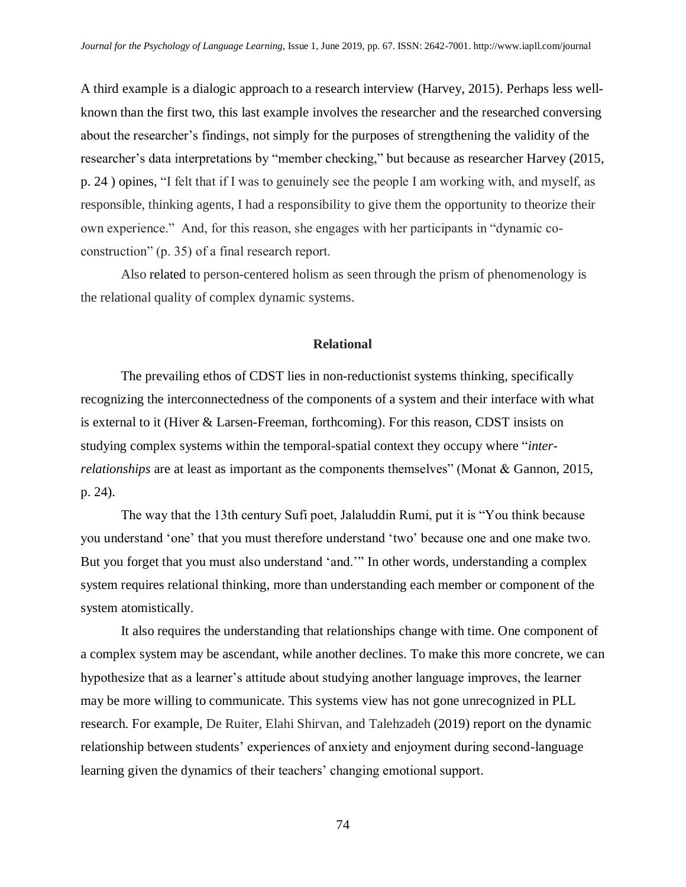A third example is a dialogic approach to a research interview (Harvey, 2015). Perhaps less wellknown than the first two, this last example involves the researcher and the researched conversing about the researcher's findings, not simply for the purposes of strengthening the validity of the researcher's data interpretations by "member checking," but because as researcher Harvey (2015, p. 24 ) opines, "I felt that if I was to genuinely see the people I am working with, and myself, as responsible, thinking agents, I had a responsibility to give them the opportunity to theorize their own experience." And, for this reason, she engages with her participants in "dynamic coconstruction" (p. 35) of a final research report.

Also related to person-centered holism as seen through the prism of phenomenology is the relational quality of complex dynamic systems.

#### **Relational**

The prevailing ethos of CDST lies in non-reductionist systems thinking, specifically recognizing the interconnectedness of the components of a system and their interface with what is external to it (Hiver & Larsen-Freeman, forthcoming). For this reason, CDST insists on studying complex systems within the temporal-spatial context they occupy where "*interrelationships* are at least as important as the components themselves" (Monat & Gannon, 2015, p. 24).

The way that the 13th century Sufi poet, Jalaluddin Rumi, put it is "You think because you understand 'one' that you must therefore understand 'two' because one and one make two. But you forget that you must also understand 'and.'" In other words, understanding a complex system requires relational thinking, more than understanding each member or component of the system atomistically.

It also requires the understanding that relationships change with time. One component of a complex system may be ascendant, while another declines. To make this more concrete, we can hypothesize that as a learner's attitude about studying another language improves, the learner may be more willing to communicate. This systems view has not gone unrecognized in PLL research. For example, De Ruiter, Elahi Shirvan, and Talehzadeh (2019) report on the dynamic relationship between students' experiences of anxiety and enjoyment during second-language learning given the dynamics of their teachers' changing emotional support.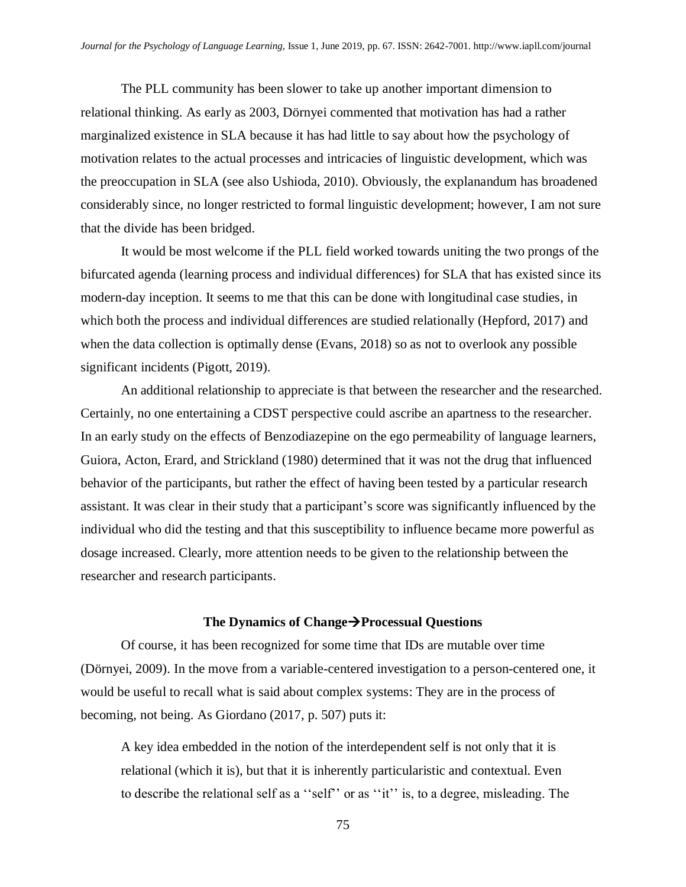The PLL community has been slower to take up another important dimension to relational thinking. As early as 2003, Dörnyei commented that motivation has had a rather marginalized existence in SLA because it has had little to say about how the psychology of motivation relates to the actual processes and intricacies of linguistic development, which was the preoccupation in SLA (see also Ushioda, 2010). Obviously, the explanandum has broadened considerably since, no longer restricted to formal linguistic development; however, I am not sure that the divide has been bridged.

It would be most welcome if the PLL field worked towards uniting the two prongs of the bifurcated agenda (learning process and individual differences) for SLA that has existed since its modern-day inception. It seems to me that this can be done with longitudinal case studies, in which both the process and individual differences are studied relationally (Hepford, 2017) and when the data collection is optimally dense (Evans, 2018) so as not to overlook any possible significant incidents (Pigott, 2019).

An additional relationship to appreciate is that between the researcher and the researched. Certainly, no one entertaining a CDST perspective could ascribe an apartness to the researcher. In an early study on the effects of Benzodiazepine on the ego permeability of language learners, Guiora, Acton, Erard, and Strickland (1980) determined that it was not the drug that influenced behavior of the participants, but rather the effect of having been tested by a particular research assistant. It was clear in their study that a participant's score was significantly influenced by the individual who did the testing and that this susceptibility to influence became more powerful as dosage increased. Clearly, more attention needs to be given to the relationship between the researcher and research participants.

#### **The Dynamics of Change**→**Processual Questions**

Of course, it has been recognized for some time that IDs are mutable over time (Dörnyei, 2009). In the move from a variable-centered investigation to a person-centered one, it would be useful to recall what is said about complex systems: They are in the process of becoming, not being. As Giordano (2017, p. 507) puts it:

A key idea embedded in the notion of the interdependent self is not only that it is relational (which it is), but that it is inherently particularistic and contextual. Even to describe the relational self as a ''self'' or as ''it'' is, to a degree, misleading. The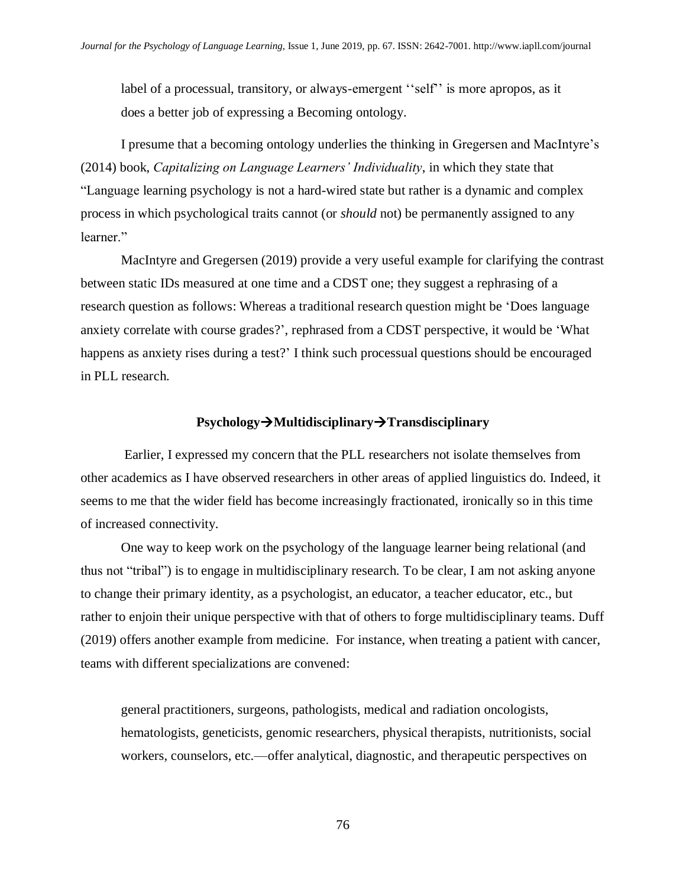label of a processual, transitory, or always-emergent "self" is more apropos, as it does a better job of expressing a Becoming ontology.

I presume that a becoming ontology underlies the thinking in Gregersen and MacIntyre's (2014) book, *Capitalizing on Language Learners' Individuality*, in which they state that "Language learning psychology is not a hard-wired state but rather is a dynamic and complex process in which psychological traits cannot (or *should* not) be permanently assigned to any learner."

MacIntyre and Gregersen (2019) provide a very useful example for clarifying the contrast between static IDs measured at one time and a CDST one; they suggest a rephrasing of a research question as follows: Whereas a traditional research question might be 'Does language anxiety correlate with course grades?', rephrased from a CDST perspective, it would be 'What happens as anxiety rises during a test?' I think such processual questions should be encouraged in PLL research.

#### **Psychology**→**Multidisciplinary**→**Transdisciplinary**

Earlier, I expressed my concern that the PLL researchers not isolate themselves from other academics as I have observed researchers in other areas of applied linguistics do. Indeed, it seems to me that the wider field has become increasingly fractionated, ironically so in this time of increased connectivity.

One way to keep work on the psychology of the language learner being relational (and thus not "tribal") is to engage in multidisciplinary research. To be clear, I am not asking anyone to change their primary identity, as a psychologist, an educator, a teacher educator, etc., but rather to enjoin their unique perspective with that of others to forge multidisciplinary teams. Duff (2019) offers another example from medicine. For instance, when treating a patient with cancer, teams with different specializations are convened:

general practitioners, surgeons, pathologists, medical and radiation oncologists, hematologists, geneticists, genomic researchers, physical therapists, nutritionists, social workers, counselors, etc.—offer analytical, diagnostic, and therapeutic perspectives on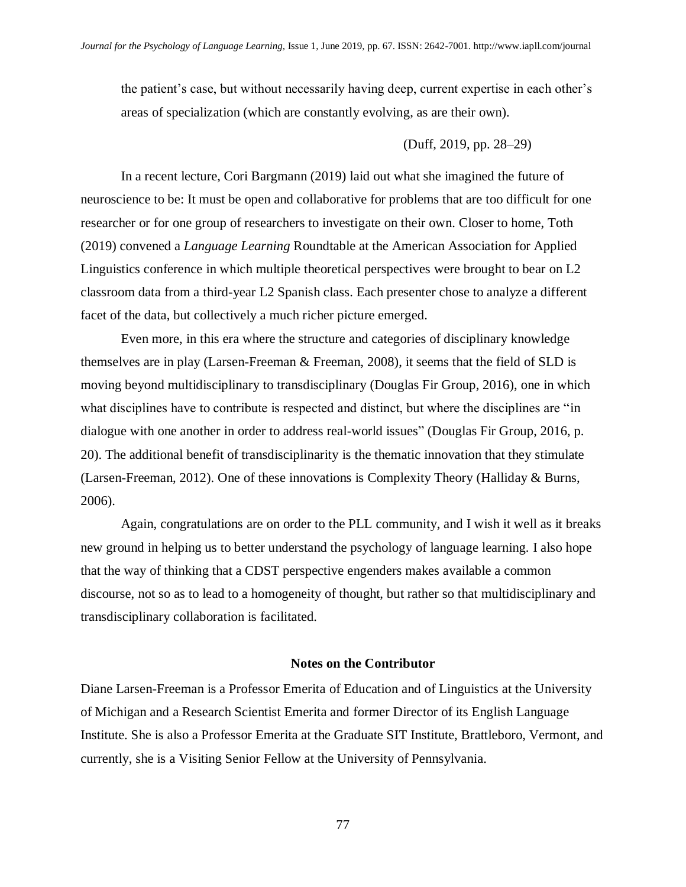the patient's case, but without necessarily having deep, current expertise in each other's areas of specialization (which are constantly evolving, as are their own).

#### (Duff, 2019, pp. 28–29)

In a recent lecture, Cori Bargmann (2019) laid out what she imagined the future of neuroscience to be: It must be open and collaborative for problems that are too difficult for one researcher or for one group of researchers to investigate on their own. Closer to home, Toth (2019) convened a *Language Learning* Roundtable at the American Association for Applied Linguistics conference in which multiple theoretical perspectives were brought to bear on L2 classroom data from a third-year L2 Spanish class. Each presenter chose to analyze a different facet of the data, but collectively a much richer picture emerged.

Even more, in this era where the structure and categories of disciplinary knowledge themselves are in play (Larsen-Freeman & Freeman, 2008), it seems that the field of SLD is moving beyond multidisciplinary to transdisciplinary (Douglas Fir Group, 2016), one in which what disciplines have to contribute is respected and distinct, but where the disciplines are "in dialogue with one another in order to address real-world issues" (Douglas Fir Group, 2016, p. 20). The additional benefit of transdisciplinarity is the thematic innovation that they stimulate (Larsen-Freeman, 2012). One of these innovations is Complexity Theory (Halliday & Burns, 2006).

Again, congratulations are on order to the PLL community, and I wish it well as it breaks new ground in helping us to better understand the psychology of language learning. I also hope that the way of thinking that a CDST perspective engenders makes available a common discourse, not so as to lead to a homogeneity of thought, but rather so that multidisciplinary and transdisciplinary collaboration is facilitated.

#### **Notes on the Contributor**

Diane Larsen-Freeman is a Professor Emerita of Education and of Linguistics at the University of Michigan and a Research Scientist Emerita and former Director of its English Language Institute. She is also a Professor Emerita at the Graduate SIT Institute, Brattleboro, Vermont, and currently, she is a Visiting Senior Fellow at the University of Pennsylvania.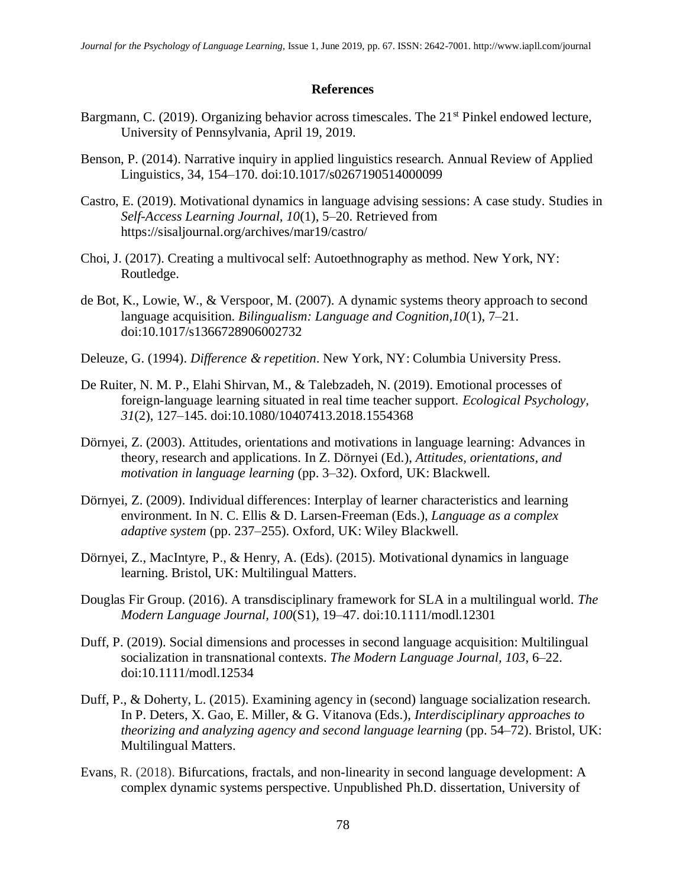#### **References**

- Bargmann, C. (2019). Organizing behavior across timescales. The 21<sup>st</sup> Pinkel endowed lecture, University of Pennsylvania, April 19, 2019.
- Benson, P. (2014). Narrative inquiry in applied linguistics research. Annual Review of Applied Linguistics, 34, 154–170. doi:10.1017/s0267190514000099
- Castro, E. (2019). Motivational dynamics in language advising sessions: A case study. Studies in *Self-Access Learning Journal, 10*(1), 5–20. Retrieved from https://sisaljournal.org/archives/mar19/castro/
- Choi, J. (2017). Creating a multivocal self: Autoethnography as method. New York, NY: Routledge.
- de Bot, K., Lowie, W., & Verspoor, M. (2007). A dynamic systems theory approach to second language acquisition. *Bilingualism: Language and Cognition,10*(1), 7–21. doi:10.1017/s1366728906002732
- Deleuze, G. (1994). *Difference & repetition*. New York, NY: Columbia University Press.
- De Ruiter, N. M. P., Elahi Shirvan, M., & Talebzadeh, N. (2019). Emotional processes of foreign-language learning situated in real time teacher support. *Ecological Psychology, 31*(2), 127–145. doi:10.1080/10407413.2018.1554368
- Dörnyei, Z. (2003). Attitudes, orientations and motivations in language learning: Advances in theory, research and applications. In Z. Dörnyei (Ed.), *Attitudes, orientations, and motivation in language learning* (pp. 3–32). Oxford, UK: Blackwell.
- Dörnyei, Z. (2009). Individual differences: Interplay of learner characteristics and learning environment. In N. C. Ellis & D. Larsen-Freeman (Eds.), *Language as a complex adaptive system* (pp. 237–255). Oxford, UK: Wiley Blackwell.
- Dörnyei, Z., MacIntyre, P., & Henry, A. (Eds). (2015). Motivational dynamics in language learning. Bristol, UK: Multilingual Matters.
- Douglas Fir Group. (2016). A transdisciplinary framework for SLA in a multilingual world. *The Modern Language Journal, 100*(S1), 19–47. doi:10.1111/modl.12301
- Duff, P. (2019). Social dimensions and processes in second language acquisition: Multilingual socialization in transnational contexts. *The Modern Language Journal, 103*, 6–22. doi:10.1111/modl.12534
- Duff, P., & Doherty, L. (2015). Examining agency in (second) language socialization research. In P. Deters, X. Gao, E. Miller, & G. Vitanova (Eds.), *Interdisciplinary approaches to theorizing and analyzing agency and second language learning* (pp. 54–72). Bristol, UK: Multilingual Matters.
- Evans, R. (2018). Bifurcations, fractals, and non-linearity in second language development: A complex dynamic systems perspective. Unpublished Ph.D. dissertation, University of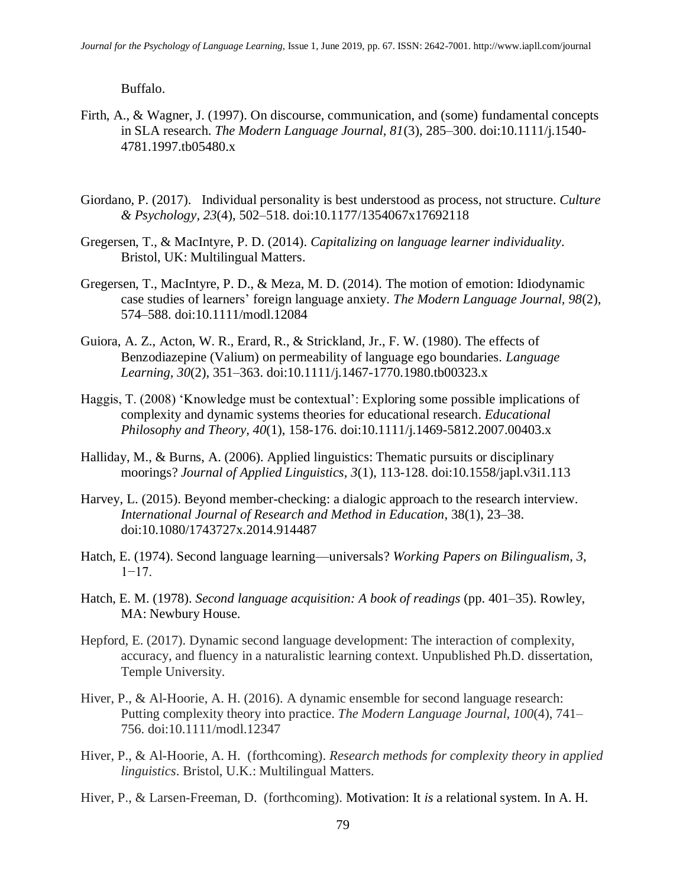Buffalo.

- Firth, A., & Wagner, J. (1997). On discourse, communication, and (some) fundamental concepts in SLA research. *The Modern Language Journal, 81*(3), 285–300. doi:10.1111/j.1540- 4781.1997.tb05480.x
- Giordano, P. (2017). Individual personality is best understood as process, not structure. *Culture & Psychology, 23*(4), 502–518. doi:10.1177/1354067x17692118
- Gregersen, T., & MacIntyre, P. D. (2014). *Capitalizing on language learner individuality*. Bristol, UK: Multilingual Matters.
- Gregersen, T., MacIntyre, P. D., & Meza, M. D. (2014). The motion of emotion: Idiodynamic case studies of learners' foreign language anxiety. *The Modern Language Journal, 98*(2), 574–588. doi:10.1111/modl.12084
- Guiora, A. Z., Acton, W. R., Erard, R., & Strickland, Jr., F. W. (1980). The effects of Benzodiazepine (Valium) on permeability of language ego boundaries. *Language Learning, 30*(2), 351–363. doi:10.1111/j.1467-1770.1980.tb00323.x
- Haggis, T. (2008) 'Knowledge must be contextual': Exploring some possible implications of complexity and dynamic systems theories for educational research. *Educational Philosophy and Theory, 40*(1), 158-176. doi:10.1111/j.1469-5812.2007.00403.x
- Halliday, M., & Burns, A. (2006). Applied linguistics: Thematic pursuits or disciplinary moorings? *Journal of Applied Linguistics, 3*(1), 113-128. doi:10.1558/japl.v3i1.113
- Harvey, L. (2015). Beyond member-checking: a dialogic approach to the research interview. *International Journal of Research and Method in Education*, 38(1), 23–38. doi:10.1080/1743727x.2014.914487
- Hatch, E. (1974). Second language learning—universals? *Working Papers on Bilingualism*, *3*, 1−17.
- Hatch, E. M. (1978). *Second language acquisition: A book of readings* (pp. 401–35). Rowley, MA: Newbury House.
- Hepford, E. (2017). Dynamic second language development: The interaction of complexity, accuracy, and fluency in a naturalistic learning context. Unpublished Ph.D. dissertation, Temple University.
- Hiver, P., & Al-Hoorie, A. H. (2016). A dynamic ensemble for second language research: Putting complexity theory into practice. *The Modern Language Journal, 100*(4), 741– 756. doi:10.1111/modl.12347
- Hiver, P., & Al-Hoorie, A. H. (forthcoming). *Research methods for complexity theory in applied linguistics*. Bristol, U.K.: Multilingual Matters.
- Hiver, P., & Larsen-Freeman, D. (forthcoming). Motivation: It *is* a relational system. In A. H.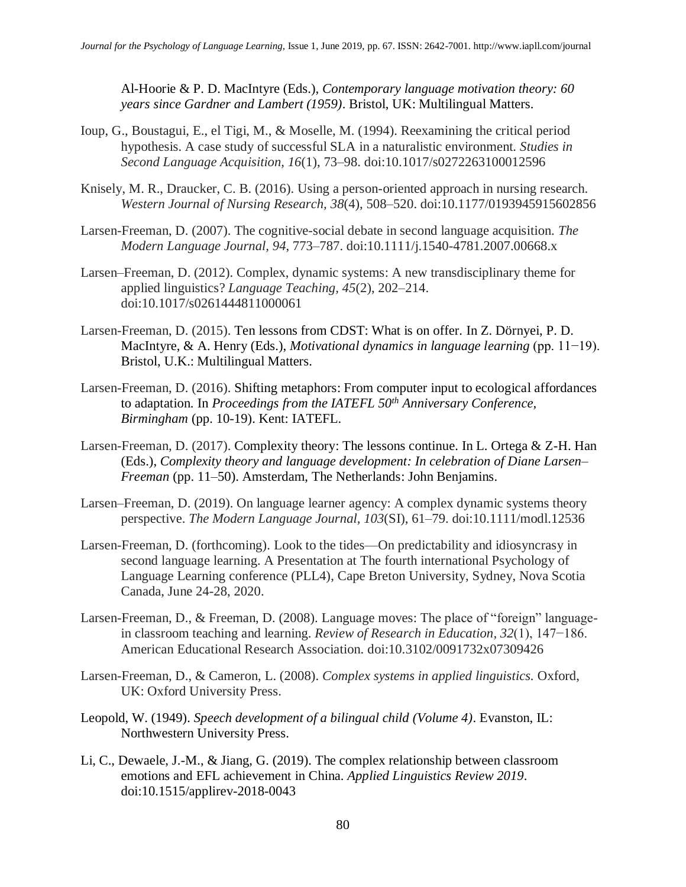Al-Hoorie & P. D. MacIntyre (Eds.), *Contemporary language motivation theory: 60 years since Gardner and Lambert (1959)*. Bristol, UK: Multilingual Matters.

- Ioup, G., Boustagui, E., el Tigi, M., & Moselle, M. (1994). Reexamining the critical period hypothesis. A case study of successful SLA in a naturalistic environment. *Studies in Second Language Acquisition, 16*(1), 73–98. doi:10.1017/s0272263100012596
- Knisely, M. R., Draucker, C. B. (2016). Using a person-oriented approach in nursing research. *Western Journal of Nursing Research, 38*(4), 508–520. doi:10.1177/0193945915602856
- Larsen-Freeman, D. (2007). The cognitive-social debate in second language acquisition. *The Modern Language Journal, 94*, 773–787. doi:10.1111/j.1540-4781.2007.00668.x
- Larsen–Freeman, D. (2012). Complex, dynamic systems: A new transdisciplinary theme for applied linguistics? *Language Teaching, 45*(2), 202–214. doi:10.1017/s0261444811000061
- Larsen-Freeman, D. (2015). Ten lessons from CDST: What is on offer. In Z. Dörnyei, P. D. MacIntyre, & A. Henry (Eds.), *Motivational dynamics in language learning* (pp. 11−19). Bristol, U.K.: Multilingual Matters.
- Larsen-Freeman, D. (2016). Shifting metaphors: From computer input to ecological affordances to adaptation. In *Proceedings from the IATEFL 50th Anniversary Conference, Birmingham* (pp. 10-19). Kent: IATEFL.
- Larsen-Freeman, D. (2017). Complexity theory: The lessons continue. In L. Ortega & Z-H. Han (Eds.), *Complexity theory and language development: In celebration of Diane Larsen– Freeman* (pp. 11–50). Amsterdam, The Netherlands: John Benjamins.
- Larsen–Freeman, D. (2019). On language learner agency: A complex dynamic systems theory perspective. *The Modern Language Journal, 103*(SI), 61–79. doi:10.1111/modl.12536
- Larsen-Freeman, D. (forthcoming). Look to the tides—On predictability and idiosyncrasy in second language learning. A Presentation at The fourth international Psychology of Language Learning conference (PLL4), Cape Breton University, Sydney, Nova Scotia Canada, June 24-28, 2020.
- Larsen-Freeman, D., & Freeman, D. (2008). Language moves: The place of "foreign" languagein classroom teaching and learning. *Review of Research in Education, 32*(1), 147−186. American Educational Research Association. doi:10.3102/0091732x07309426
- Larsen-Freeman, D., & Cameron, L. (2008). *Complex systems in applied linguistics.* Oxford, UK: Oxford University Press.
- Leopold, W. (1949). *Speech development of a bilingual child (Volume 4)*. Evanston, IL: Northwestern University Press.
- Li, C., Dewaele, J.-M., & Jiang, G. (2019). The complex relationship between classroom emotions and EFL achievement in China. *Applied Linguistics Review 2019*. doi:10.1515/applirev-2018-0043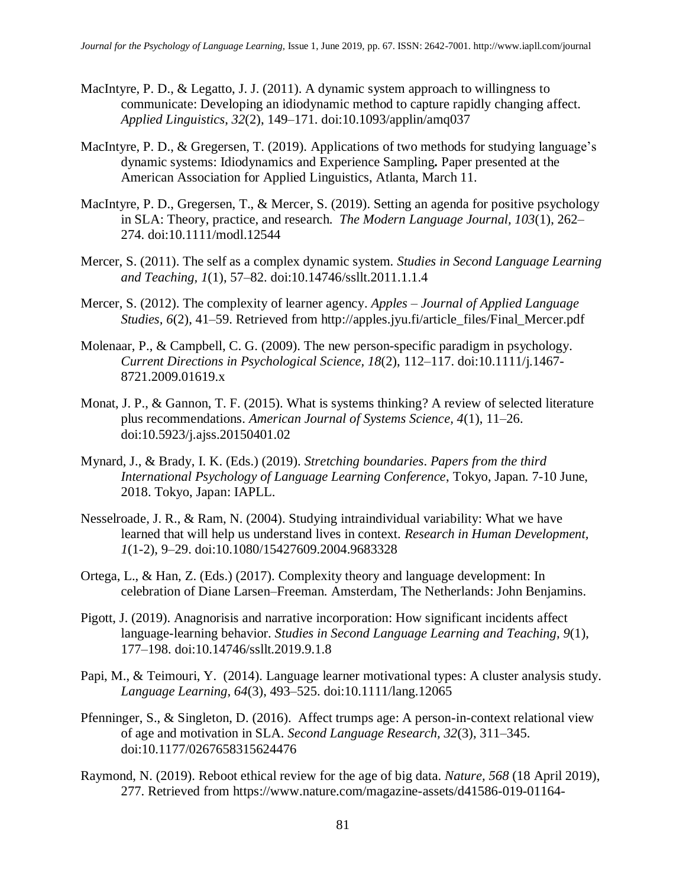- MacIntyre, P. D., & Legatto, J. J. (2011). A dynamic system approach to willingness to communicate: Developing an idiodynamic method to capture rapidly changing affect. *Applied Linguistics*, *32*(2), 149–171. doi:10.1093/applin/amq037
- MacIntyre, P. D., & Gregersen, T. (2019). Applications of two methods for studying language's dynamic systems: Idiodynamics and Experience Sampling*.* Paper presented at the American Association for Applied Linguistics, Atlanta, March 11.
- MacIntyre, P. D., Gregersen, T., & Mercer, S. (2019). Setting an agenda for positive psychology in SLA: Theory, practice, and research. *The Modern Language Journal, 103*(1), 262– 274. doi:10.1111/modl.12544
- Mercer, S. (2011). The self as a complex dynamic system. *Studies in Second Language Learning and Teaching, 1*(1), 57–82. doi:10.14746/ssllt.2011.1.1.4
- Mercer, S. (2012). The complexity of learner agency. *Apples – Journal of Applied Language Studies, 6*(2), 41–59. Retrieved from http://apples.jyu.fi/article\_files/Final\_Mercer.pdf
- Molenaar, P., & Campbell, C. G. (2009). The new person-specific paradigm in psychology. *Current Directions in Psychological Science, 18*(2), 112–117. doi:10.1111/j.1467- 8721.2009.01619.x
- Monat, J. P., & Gannon, T. F. (2015). What is systems thinking? A review of selected literature plus recommendations. *American Journal of Systems Science, 4*(1), 11–26. doi:10.5923/j.ajss.20150401.02
- Mynard, J., & Brady, I. K. (Eds.) (2019). *Stretching boundaries*. *Papers from the third International Psychology of Language Learning Conference*, Tokyo, Japan. 7-10 June, 2018. Tokyo, Japan: IAPLL.
- Nesselroade, J. R., & Ram, N. (2004). Studying intraindividual variability: What we have learned that will help us understand lives in context. *Research in Human Development, 1*(1-2), 9–29. doi:10.1080/15427609.2004.9683328
- Ortega, L., & Han, Z. (Eds.) (2017). Complexity theory and language development: In celebration of Diane Larsen–Freeman. Amsterdam, The Netherlands: John Benjamins.
- Pigott, J. (2019). Anagnorisis and narrative incorporation: How significant incidents affect language-learning behavior. *Studies in Second Language Learning and Teaching, 9*(1), 177–198. doi:10.14746/ssllt.2019.9.1.8
- Papi, M., & Teimouri, Y. (2014). Language learner motivational types: A cluster analysis study. *Language Learning, 64*(3), 493–525. doi:10.1111/lang.12065
- Pfenninger, S., & Singleton, D. (2016). Affect trumps age: A person-in-context relational view of age and motivation in SLA. *Second Language Research, 32*(3), 311–345. doi:10.1177/0267658315624476
- Raymond, N. (2019). Reboot ethical review for the age of big data. *Nature, 568* (18 April 2019), 277. Retrieved from https://www.nature.com/magazine-assets/d41586-019-01164-